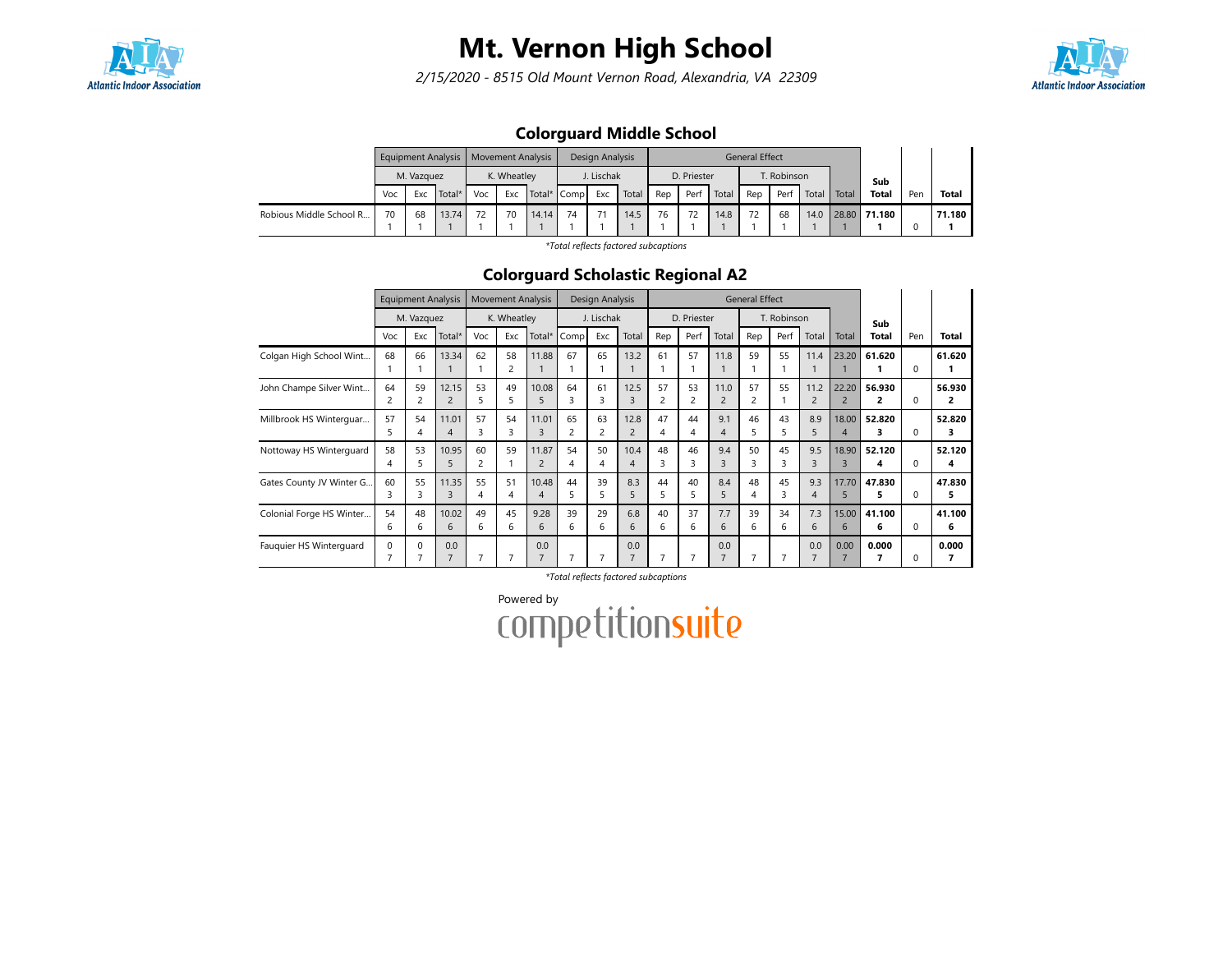

2/15/2020 - 8515 Old Mount Vernon Road, Alexandria, VA 22309



## Colorguard Middle School

|                         |     |            | <b>Equipment Analysis</b> | Movement Analysis |             |             |    | Design Analysis |       |     |             |       | <b>General Effect</b> |                    |       |       |              |     |              |
|-------------------------|-----|------------|---------------------------|-------------------|-------------|-------------|----|-----------------|-------|-----|-------------|-------|-----------------------|--------------------|-------|-------|--------------|-----|--------------|
|                         |     | M. Vazguez |                           |                   | K. Wheatley |             |    | I. Lischak      |       |     | D. Priester |       |                       | <b>T. Robinson</b> |       |       | Sub          |     |              |
|                         | Voc | Exc        | Total*                    | Voc               | Exc         | Total* Comp |    | Exc             | Total | Rep | Perf        | Total | Rep                   | Perf               | Total | Total | <b>Total</b> | Pen | <b>Total</b> |
| Robious Middle School R | 70  | 68         | 13.74                     | 72                | 70          | 14.14       | 74 | 71              | 14.5  | 76  |             | 14.8  | 72                    | 68                 | 14.0  |       | 28.80 71.180 |     | 71.180       |
|                         |     |            |                           |                   |             |             |    |                 |       |     |             |       |                       |                    |       |       |              |     |              |

\*Total reflects factored subcaptions

### Colorguard Scholastic Regional A2

|                          |          | <b>Equipment Analysis</b> |                         |                | <b>Movement Analysis</b> |                         |                      | Design Analysis |                        |         |             |                        | <b>General Effect</b> |             |                        |                         |              |          |              |
|--------------------------|----------|---------------------------|-------------------------|----------------|--------------------------|-------------------------|----------------------|-----------------|------------------------|---------|-------------|------------------------|-----------------------|-------------|------------------------|-------------------------|--------------|----------|--------------|
|                          |          | M. Vazquez                |                         |                | K. Wheatley              |                         |                      | J. Lischak      |                        |         | D. Priester |                        |                       | T. Robinson |                        |                         | Sub          |          |              |
|                          | Voc      | Exc                       | Total*                  | Voc            | Exc                      | Total*                  | Comp                 | Exc             | Total                  | Rep     | Perf        | Total                  | Rep                   | Perf        | Total                  | Total                   | Total        | Pen      | Total        |
| Colgan High School Wint  | 68       | 66                        | 13.34                   | 62             | 58<br>2                  | 11.88                   | 67                   | 65              | 13.2                   | 61      | 57          | 11.8                   | 59                    | 55          | 11.4                   | 23.20                   | 61.620       | $\Omega$ | 61.620       |
| John Champe Silver Wint  | 64       | 59<br>2                   | 12.15<br>$\overline{2}$ | 53<br>5        | 49<br>5                  | 10.08<br>5              | 64<br>3              | 61              | 12.5<br>3              | 57<br>2 | 53<br>2     | 11.0<br>$\overline{c}$ | 57<br>2               | 55          | 11.2<br>$\overline{c}$ | 22.20<br>$\overline{2}$ | 56.930<br>2  | $\Omega$ | 56.930<br>2  |
| Millbrook HS Winterguar  | 57       | 54<br>4                   | 11.01<br>4              | 57<br>3        | 54<br>3                  | 11.01<br>$\overline{3}$ | 65<br>$\overline{c}$ | 63<br>2         | 12.8<br>$\overline{2}$ | 47<br>4 | 44<br>4     | 9.1<br>4               | 46                    | 43          | 8.9<br>5               | 18.00<br>$\overline{A}$ | 52.820       | $\Omega$ | 52.820<br>з  |
| Nottoway HS Winterguard  | 58<br>4  | 53<br>5.                  | 10.95<br>5              | 60<br>2        | 59                       | 11.87                   | 54<br>4              | 50<br>4         | 10.4<br>4              | 48<br>3 | 46          | 9.4<br>3               | 50<br>ς               | 45          | 9.5<br>3               | 18.90<br>3              | 52.120<br>4  | $\Omega$ | 52.120<br>4  |
| Gates County JV Winter G | 60<br>3  | 55<br>3                   | 11.35<br>3              | 55<br>4        | 51<br>4                  | 10.48<br>$\overline{4}$ | 44<br>5              | 39<br>5         | 8.3<br>5               | 44<br>5 | 40<br>5     | 8.4<br>5               | 48<br>4               | 45          | 9.3<br>4               | 17.70<br>5              | 47.830<br>5. | $\Omega$ | 47.830<br>5. |
| Colonial Forge HS Winter | 54<br>6  | 48<br>6                   | 10.02<br>6              | 49<br>6        | 45<br>6                  | 9.28<br>6               | 39<br>6              | 29<br>6         | 6.8<br>6               | 40<br>6 | 37<br>6     | 7.7<br>6               | 39<br>6               | 34<br>6     | 7.3<br>6               | 15.00<br>6              | 41.100<br>6  | $\Omega$ | 41.100<br>6  |
| Fauquier HS Winterguard  | $\Omega$ | $\Omega$                  | 0.0<br>$\overline{7}$   | $\overline{7}$ | 7                        | 0.0                     |                      |                 | 0.0<br>–               | 7       |             | 0.0<br>$\overline{7}$  | F                     |             | 0.0<br>7               | 0.00                    | 0.000        | O        | 0.000<br>7   |

\*Total reflects factored subcaptions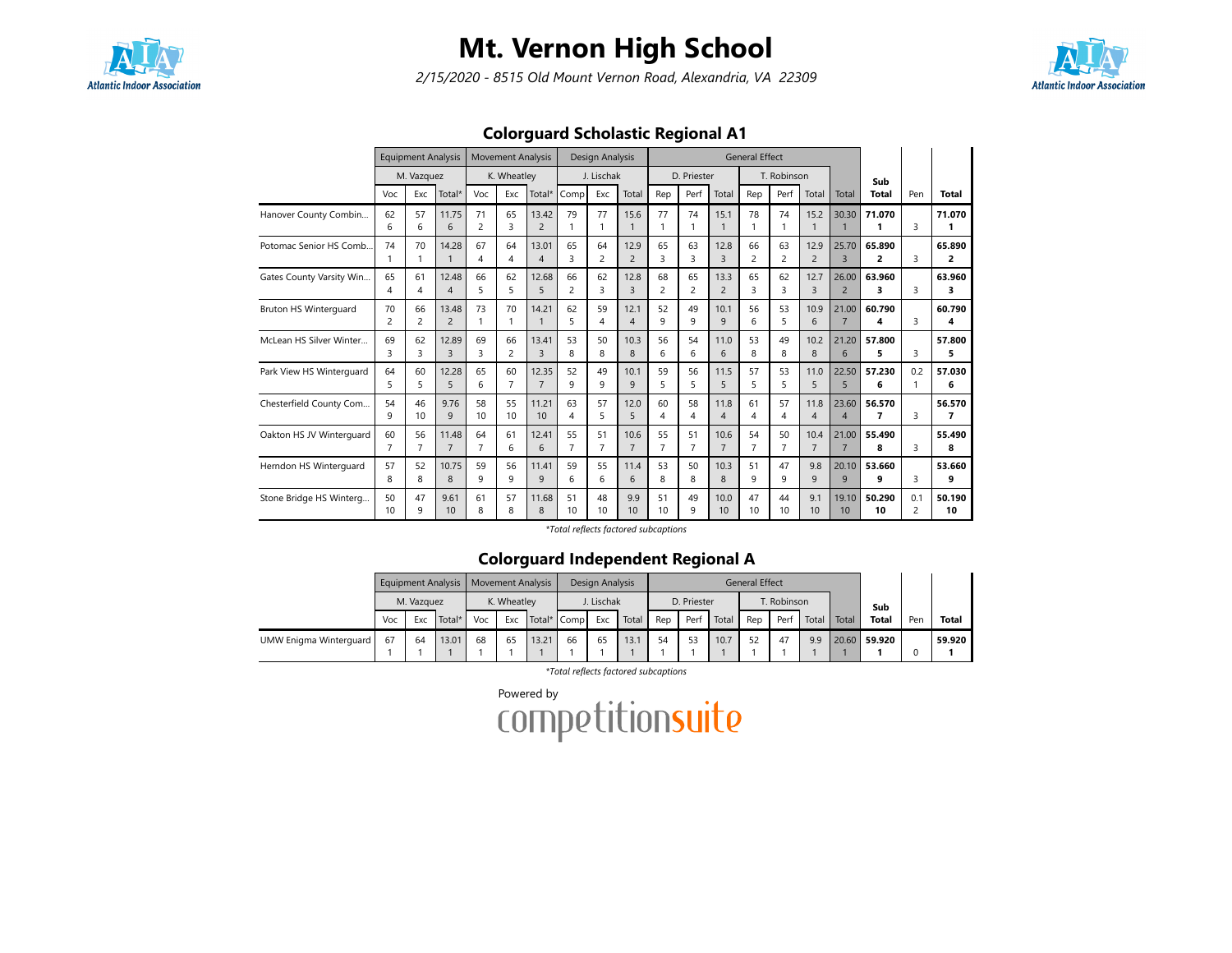

2/15/2020 - 8515 Old Mount Vernon Road, Alexandria, VA 22309



## Colorguard Scholastic Regional A1

|                              |                       | <b>Equipment Analysis</b> |                         |                      | <b>Movement Analysis</b> |                         |                       | Design Analysis      |                        |                       |                      |                        | <b>General Effect</b> |                      |                        |                         |                                    |                       |              |
|------------------------------|-----------------------|---------------------------|-------------------------|----------------------|--------------------------|-------------------------|-----------------------|----------------------|------------------------|-----------------------|----------------------|------------------------|-----------------------|----------------------|------------------------|-------------------------|------------------------------------|-----------------------|--------------|
|                              |                       | M. Vazquez                |                         |                      | K. Wheatley              |                         |                       | J. Lischak           |                        |                       | D. Priester          |                        |                       | T. Robinson          |                        |                         | Sub                                |                       |              |
|                              | Voc                   | Exc                       | Total*                  | Voc                  | Exc                      | Total*                  | Comp                  | Exc                  | Total                  | Rep                   | Perf                 | Total                  | Rep                   | Perf                 | Total                  | Total                   | <b>Total</b>                       | Pen                   | <b>Total</b> |
| Hanover County Combin        | 62<br>6               | 57<br>6                   | 11.75<br>6              | 71<br>2              | 65<br>3                  | 13.42<br>$\overline{2}$ | 79                    | 77<br>1              | 15.6<br>$\mathbf{1}$   | 77<br>1               | 74<br>1              | 15.1                   | 78                    | 74<br>1              | 15.2<br>$\mathbf{1}$   | 30.30                   | 71.070<br>1                        | 3                     | 71.070       |
| Potomac Senior HS Comb.      | 74                    | 70<br>1                   | 14.28<br>$\mathbf{1}$   | 67<br>4              | 64<br>4                  | 13.01<br>$\overline{4}$ | 65<br>3               | 64<br>2              | 12.9<br>$\overline{2}$ | 65<br>3               | 63<br>3              | 12.8<br>$\overline{3}$ | 66<br>2               | 63<br>2              | 12.9<br>$\overline{2}$ | 25.70<br>3              | 65.890<br>2                        | 3                     | 65.890<br>2  |
| Gates County Varsity Win     | 65<br>4               | 61<br>4                   | 12.48<br>$\overline{4}$ | 66<br>5              | 62<br>5                  | 12.68<br>5              | 66<br>2               | 62<br>3              | 12.8<br>$\overline{3}$ | 68<br>$\overline{c}$  | 65<br>$\overline{2}$ | 13.3<br>$\overline{c}$ | 65<br>3               | 62<br>3              | 12.7<br>$\overline{3}$ | 26.00<br>$\overline{2}$ | 63.960<br>3                        | 3                     | 63.960<br>3  |
| <b>Bruton HS Winterquard</b> | 70<br>$\overline{2}$  | 66<br>$\overline{c}$      | 13.48<br>$\overline{2}$ | 73<br>1              | 70<br>1                  | 14.21                   | 62<br>5               | 59<br>4              | 12.1<br>$\overline{4}$ | 52<br>9               | 49<br>9              | 10.1<br>$\mathsf{q}$   | 56<br>6               | 53<br>5              | 10.9<br>6              | 21.00<br>$\overline{7}$ | 60.790<br>4                        | 3                     | 60.790<br>4  |
| McLean HS Silver Winter      | 69<br>₹               | 62<br>3                   | 12.89<br>3              | 69<br>3              | 66<br>$\overline{c}$     | 13.41<br>3              | 53<br>8               | 50<br>8              | 10.3<br>8              | 56<br>6               | 54<br>6              | 11.0<br>6              | 53<br>8               | 49<br>8              | 10.2<br>8              | 21.20<br>6              | 57.800<br>5                        | 3                     | 57.800<br>5  |
| Park View HS Winterguard     | 64<br>5               | 60<br>5                   | 12.28<br>5              | 65<br>6              | 60<br>$\overline{7}$     | 12.35<br>$\overline{7}$ | 52<br>9               | 49<br>9              | 10.1<br>9              | 59<br>5               | 56<br>5              | 11.5<br>5              | 57<br>5               | 53<br>5              | 11.0<br>5              | 22.50<br>5              | 57.230<br>6                        | 0.2<br>1              | 57.030<br>6  |
| Chesterfield County Com      | 54<br>9               | 46<br>10                  | 9.76<br>9               | 58<br>10             | 55<br>10                 | 11.21<br>10             | 63<br>4               | 57<br>5              | 12.0<br>5              | 60<br>4               | 58<br>4              | 11.8<br>$\overline{4}$ | 61<br>4               | 57<br>4              | 11.8<br>$\overline{4}$ | 23.60<br>$\overline{4}$ | 56.570<br>$\overline{\phantom{a}}$ | 3                     | 56.570<br>7  |
| Oakton HS JV Winterguard     | 60<br>$\overline{7}$  | 56<br>$\overline{7}$      | 11.48<br>$\overline{7}$ | 64<br>$\overline{7}$ | 61<br>6                  | 12.41<br>6              | 55<br>$\overline{7}$  | 51<br>$\overline{7}$ | 10.6<br>$\overline{7}$ | 55<br>$\overline{7}$  | 51<br>$\overline{7}$ | 10.6<br>$\overline{7}$ | 54<br>$\overline{7}$  | 50<br>$\overline{7}$ | 10.4<br>$\overline{7}$ | 21.00<br>$\overline{7}$ | 55.490<br>8                        | 3                     | 55.490<br>8  |
| Herndon HS Winterquard       | 57<br>8               | 52<br>8                   | 10.75<br>8              | 59<br>9              | 56<br>9                  | 11.41<br>9              | 59<br>6               | 55<br>6              | 11.4<br>6              | 53<br>8               | 50<br>8              | 10.3<br>8              | 51<br>9               | 47<br>9              | 9.8<br>9               | 20.10<br>9              | 53.660<br>9                        | 3                     | 53.660<br>9  |
| Stone Bridge HS Winterg      | 50<br>10 <sup>2</sup> | 47<br>q                   | 9.61<br>10              | 61<br>8              | 57<br>8                  | 11.68<br>8              | 51<br>10 <sup>2</sup> | 48<br>10             | 9.9<br>10              | 51<br>10 <sup>2</sup> | 49<br>q              | 10.0<br>10             | 47<br>10              | 44<br>10             | 9.1<br>10              | 19.10<br>10             | 50.290<br>10                       | 0.1<br>$\overline{c}$ | 50.190<br>10 |

\*Total reflects factored subcaptions

## Colorguard Independent Regional A

|                        |     |            | Equipment Analysis   Movement Analysis |     |             |             |    | Design Analysis |       |     |             |       | <b>General Effect</b> |             |       |       |              |     |              |
|------------------------|-----|------------|----------------------------------------|-----|-------------|-------------|----|-----------------|-------|-----|-------------|-------|-----------------------|-------------|-------|-------|--------------|-----|--------------|
|                        |     | M. Vazquez |                                        |     | K. Wheatley |             |    | J. Lischak      |       |     | D. Priester |       |                       | T. Robinson |       |       | Sub          |     |              |
|                        | Voc | Exc        | Total*                                 | Voc | Exc         | Total* Comp |    | Exc             | Total | Rep | Perf        | Total | Rep                   | Perf        | Total | Total | <b>Total</b> | Pen | <b>Total</b> |
| UMW Enigma Winterguard | 67  | 64         | 13.01                                  | 68  | 65          | 13.21       | 66 | 65              | 13.1  | 54  | 53          | 10.7  | 52                    | 47          | 9.9   |       | 20.60 59.920 |     | 59.920       |
|                        |     |            |                                        |     |             |             |    |                 |       |     |             |       |                       |             |       |       |              |     |              |

\*Total reflects factored subcaptions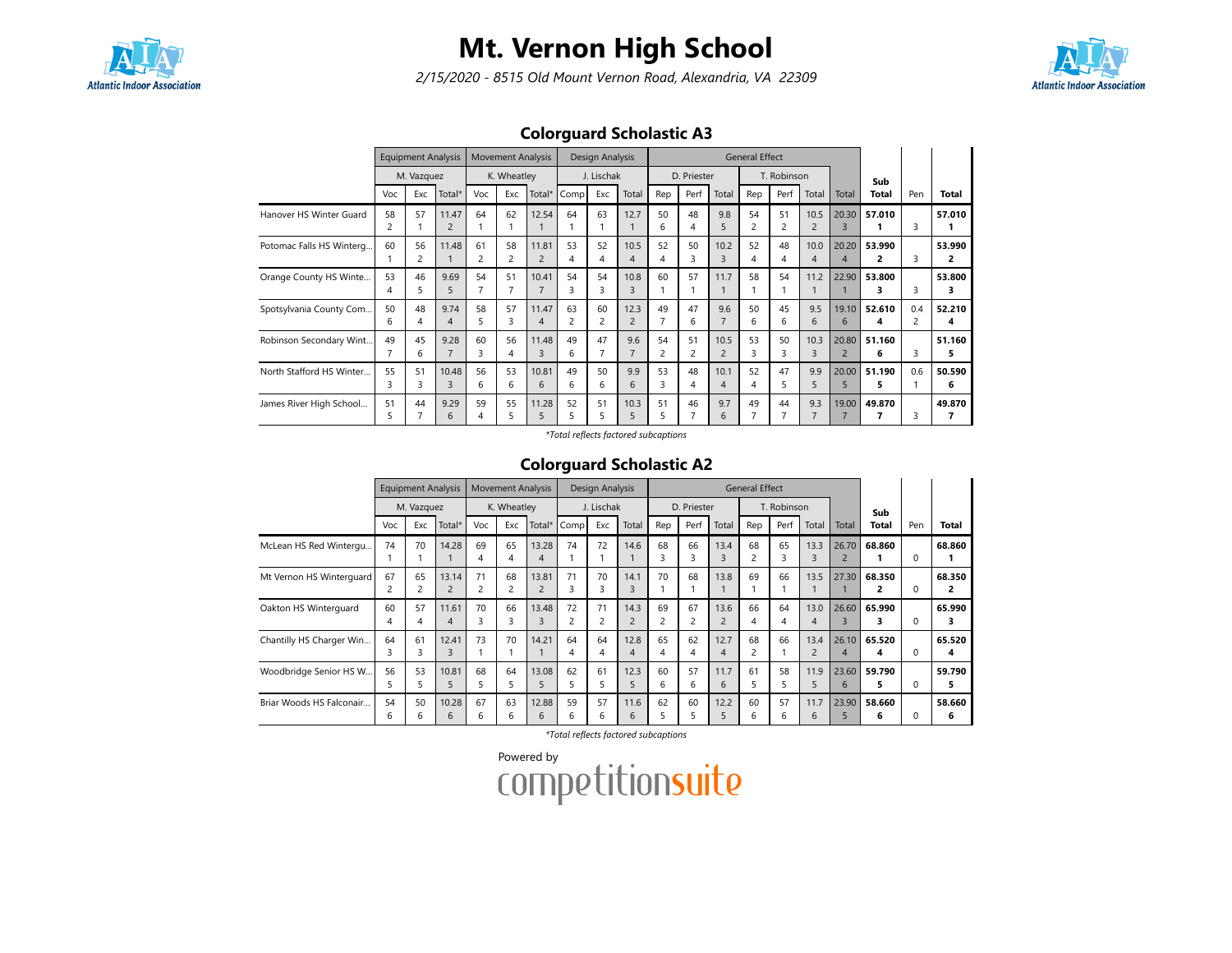

2/15/2020 - 8515 Old Mount Vernon Road, Alexandria, VA 22309



## Colorguard Scholastic A3

|                          |                      | <b>Equipment Analysis</b> |                         |         | <b>Movement Analysis</b> |                                  |                      | Design Analysis |                        |         |                      |                        | <b>General Effect</b> |             |                        |                         |             |     |              |
|--------------------------|----------------------|---------------------------|-------------------------|---------|--------------------------|----------------------------------|----------------------|-----------------|------------------------|---------|----------------------|------------------------|-----------------------|-------------|------------------------|-------------------------|-------------|-----|--------------|
|                          |                      | M. Vazquez                |                         |         | K. Wheatley              |                                  |                      | J. Lischak      |                        |         | D. Priester          |                        |                       | T. Robinson |                        |                         | Sub         |     |              |
|                          | Voc                  | Exc                       | Total*                  | Voc     | Exc                      | Total*                           | Comp                 | Exc             | Total                  | Rep     | Perf                 | Total                  | Rep                   | Perf        | Total                  | Total                   | Total       | Pen | Total        |
| Hanover HS Winter Guard  | 58<br>2              | 57                        | 11.47<br>$\overline{2}$ | 64      | 62                       | 12.54                            | 64                   | 63              | 12.7                   | 50<br>6 | 48<br>4              | 9.8<br>5               | 54                    | 51          | 10.5<br>$\overline{2}$ | 20.30<br>3              | 57.010      | 3   | 57.010       |
| Potomac Falls HS Winterg | 60                   | 56<br>2                   | 11.48                   | 61<br>2 | 58<br>2                  | 11.81<br>$\overline{2}$          | 53<br>4              | 52              | 10.5<br>4              | 52<br>4 | 50<br>3              | 10.2<br>3              | 52<br>4               | 48          | 10.0<br>4              | 20.20<br>4              | 53.990<br>2 | 3   | 53.990<br>2  |
| Orange County HS Winte   | 53<br>$\overline{4}$ | 46                        | 9.69<br>5               | 54<br>7 | 51<br>7                  | 10.41<br>$\overline{7}$          | 54<br>3              | 54              | 10.8<br>3              | 60      | 57                   | 11.7                   | 58                    | 54          | 11.2                   | 22.90                   | 53.800<br>з | 3   | 53.800<br>з  |
| Spotsylvania County Com  | 50<br>6              | 48                        | 9.74<br>4               | 58<br>5 | 57<br>3                  | 11.47<br>$\overline{4}$          | 63<br>$\overline{c}$ | 60<br>2         | 12.3<br>$\overline{2}$ | 49<br>7 | 47<br>6              | 9.6                    | 50<br>6               | 45<br>6     | 9.5<br>6               | 19.10<br>6              | 52.610<br>4 | 0.4 | 52.210<br>4  |
| Robinson Secondary Wint  | 49                   | 45<br>6                   | 9.28                    | 60<br>3 | 56<br>4                  | 11.48<br>$\overline{\mathbf{3}}$ | 49<br>6              | 47              | 9.6                    | 54<br>2 | 51<br>$\overline{c}$ | 10.5<br>$\overline{c}$ | 53<br>ς               | 50          | 10.3<br>3              | 20.80<br>$\overline{2}$ | 51.160<br>6 | 3   | 51.160<br>5. |
| North Stafford HS Winter | 55<br>3              | 51                        | 10.48<br>3              | 56<br>6 | 53<br>6                  | 10.81<br>6                       | 49<br>6              | 50<br>6         | 9.9<br>6               | 53<br>3 | 48<br>4              | 10.1<br>$\overline{4}$ | 52<br>4               | 47<br>5.    | 9.9<br>5               | 20.00<br>5              | 51.190<br>5 | 0.6 | 50.590<br>6  |
| James River High School  | 51<br>5              | 44                        | 9.29<br>6               | 59<br>4 | 55<br>5                  | 11.28<br>5                       | 52<br>5              | 51              | 10.3<br>5              | 51<br>5 | 46                   | 9.7<br>6               | 49                    | 44          | 9.3                    | 19.00                   | 49.870      | 3   | 49.870       |

\*Total reflects factored subcaptions

#### Colorguard Scholastic A2

|                          |         | <b>Equipment Analysis</b> |                         |         | <b>Movement Analysis</b> |            |         | Design Analysis |                        |         |             |                                 | <b>General Effect</b> |             |                        |                         |              |     |              |
|--------------------------|---------|---------------------------|-------------------------|---------|--------------------------|------------|---------|-----------------|------------------------|---------|-------------|---------------------------------|-----------------------|-------------|------------------------|-------------------------|--------------|-----|--------------|
|                          |         | M. Vazquez                |                         |         | K. Wheatley              |            |         | J. Lischak      |                        |         | D. Priester |                                 |                       | T. Robinson |                        |                         | Sub          |     |              |
|                          | Voc     | Exc                       | Total*                  | Voc     | Exc                      | Total*     | Comp    | Exc             | Total                  | Rep     | Perf        | Total                           | Rep                   | Perf        | Total                  | Total                   | <b>Total</b> | Pen | <b>Total</b> |
| McLean HS Red Wintergu   | 74      | 70                        | 14.28                   | 69<br>4 | 65<br>4                  | 13.28<br>4 | 74      | 72              | 14.6                   | 68<br>3 | 66<br>ς     | 13.4<br>$\overline{\mathbf{3}}$ | 68                    | 65<br>3     | 13.3<br>3              | 26.70<br>$\overline{2}$ | 68.860       | 0   | 68.860       |
| Mt Vernon HS Winterguard | 67      | 65<br>۷                   | 13.14<br>$\overline{2}$ | 71<br>2 | 68<br>2                  | 13.81      | 71<br>3 | 70<br>3         | 14.1<br>3              | 70      | 68          | 13.8                            | 69                    | 66          | 13.5                   | 27.30                   | 68.350<br>2  | 0   | 68.350<br>2  |
| Oakton HS Winterguard    | 60      | 57<br>4                   | 11.61<br>4              | 70<br>3 | 66<br>3                  | 13.48<br>3 | 72      | 71<br>2         | 14.3<br>$\overline{c}$ | 69<br>2 | 67          | 13.6<br>$\overline{2}$          | 66<br>4               | 64<br>4     | 13.0<br>$\overline{4}$ | 26.60                   | 65.990<br>з  | 0   | 65.990<br>3  |
| Chantilly HS Charger Win | 64<br>3 | 61<br>3                   | 12.41<br>3              | 73      | 70                       | 14.21      | 64      | 64<br>4         | 12.8<br>4              | 65<br>4 | 62<br>4     | 12.7<br>4                       | 68<br>2               | 66          | 13.4<br>$\overline{2}$ | 26.10<br>4              | 65.520<br>4  |     | 65.520<br>4  |
| Woodbridge Senior HS W   | 56      | 53                        | 10.81<br>5              | 68<br>5 | 64<br>5                  | 13.08<br>5 | 62      | 61<br>5.        | 12.3<br>5              | 60<br>6 | 57<br>6     | 11.7<br>6                       | 61<br>5.              | 58<br>5     | 11.9<br>5              | 23.60<br>6              | 59.790<br>5  |     | 59.790<br>5  |
| Briar Woods HS Falconair | 54<br>6 | 50                        | 10.28<br>6              | 67<br>6 | 63<br>6                  | 12.88<br>6 | 59      | 57<br>6         | 11.6<br>6              | 62      | 60          | 12.2                            | 60<br>h               | 57<br>h     | 11.7<br>6              | 23.90                   | 58.660<br>6  |     | 58.660<br>6  |

\*Total reflects factored subcaptions

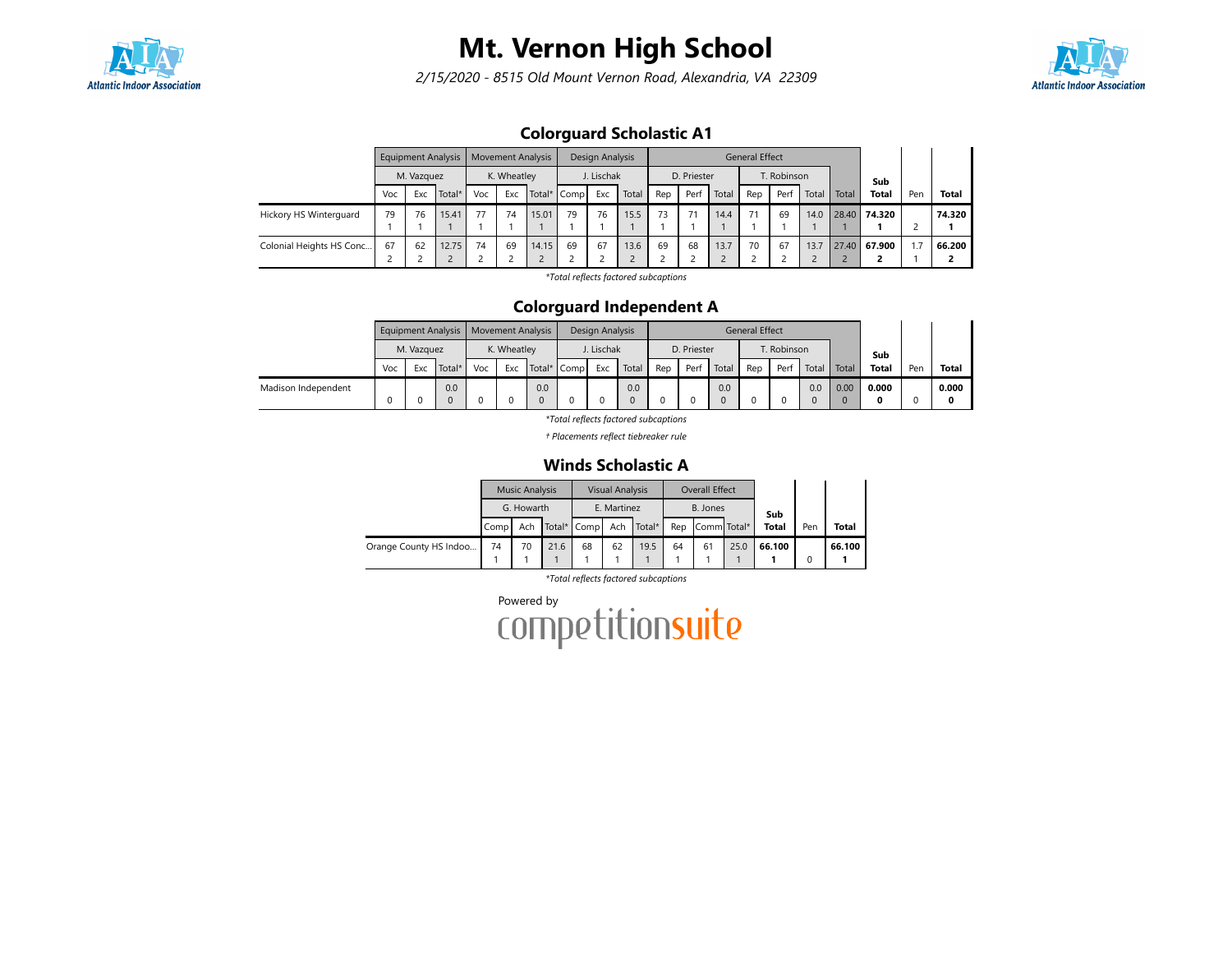

2/15/2020 - 8515 Old Mount Vernon Road, Alexandria, VA 22309



## Colorguard Scholastic A1

|                          |     |            | <b>Equipment Analysis</b> |     | <b>Movement Analysis</b> |       |             | Design Analysis |       |     |             |       | <b>General Effect</b> |             |       |       |              |      |              |
|--------------------------|-----|------------|---------------------------|-----|--------------------------|-------|-------------|-----------------|-------|-----|-------------|-------|-----------------------|-------------|-------|-------|--------------|------|--------------|
|                          |     | M. Vazquez |                           |     | K. Wheatley              |       |             | J. Lischak      |       |     | D. Priester |       |                       | T. Robinson |       |       | Sub          |      |              |
|                          | Voc | Exc        | Total*                    | Voc | Exc                      |       | Total* Comp | Exc             | Total | Rep | Perf        | Total | Rep                   | Perf        | Total | Total | <b>Total</b> | Pen  | <b>Total</b> |
| Hickory HS Winterguard   | 79  | 76         | 15.41                     | 77  | 74                       | 15.01 | 79          | 76              | 15.5  | 73  | 71          | 14.4  | 71                    | 69          | 14.0  |       | 28.40 74.320 |      | 74.320       |
|                          |     |            |                           |     |                          |       |             |                 |       |     |             |       |                       |             |       |       |              |      |              |
| Colonial Heights HS Conc | 67  | 62         | 12.75                     | 74  | 69                       | 14.15 | 69          | 67              | 13.6  | 69  | 68          | 13.7  | 70                    | 67          | 13.7  |       | 27.40 67.900 | 7. ا | 66.200       |
|                          |     |            |                           |     |                          |       |             |                 |       |     |             |       |                       |             |       |       |              |      |              |

\*Total reflects factored subcaptions

### Colorguard Independent A

|                     |     |            | Equipment Analysis   Movement Analysis |     |             |             | Design Analysis |       |     |             |       | <b>General Effect</b> |             |       |       |              |     |       |
|---------------------|-----|------------|----------------------------------------|-----|-------------|-------------|-----------------|-------|-----|-------------|-------|-----------------------|-------------|-------|-------|--------------|-----|-------|
|                     |     | M. Vazguez |                                        |     | K. Wheatley |             | J. Lischak      |       |     | D. Priester |       |                       | T. Robinson |       |       | Sub          |     |       |
|                     | Voc | Exc        | Total*                                 | Voc | Exc         | Total* Comp | Exc             | Total | Rep | Perf        | Total | Rep                   | Perf        | Total | Total | <b>Total</b> | Pen | Total |
| Madison Independent |     |            | 0.0                                    |     |             | 0.0         |                 | 0.0   |     |             | 0.0   |                       |             | 0.0   | 0.00  | 0.000        |     | 0.000 |
|                     |     |            |                                        |     |             |             |                 |       |     |             |       |                       |             |       |       |              |     |       |

\*Total reflects factored subcaptions

† Placements reflect tiebreaker rule

### Winds Scholastic A

|                        |      | <b>Music Analysis</b> |      |                 | <b>Visual Analysis</b> |        |     | Overall Effect |      |              |     |        |
|------------------------|------|-----------------------|------|-----------------|------------------------|--------|-----|----------------|------|--------------|-----|--------|
|                        |      | G. Howarth            |      |                 | E. Martinez            |        |     | B. Jones       |      | Sub          |     |        |
|                        | Comp | Ach                   |      | Total* Comp Ach |                        | Total* | Rep | Comm Total*    |      | <b>Total</b> | Pen | Total  |
| Orange County HS Indoo | 74   | 70                    | 21.6 | 68              | 62                     | 19.5   | 64  | 61             | 25.0 | 66.100       |     | 66.100 |
|                        |      |                       |      |                 |                        |        |     |                |      |              |     |        |

\*Total reflects factored subcaptions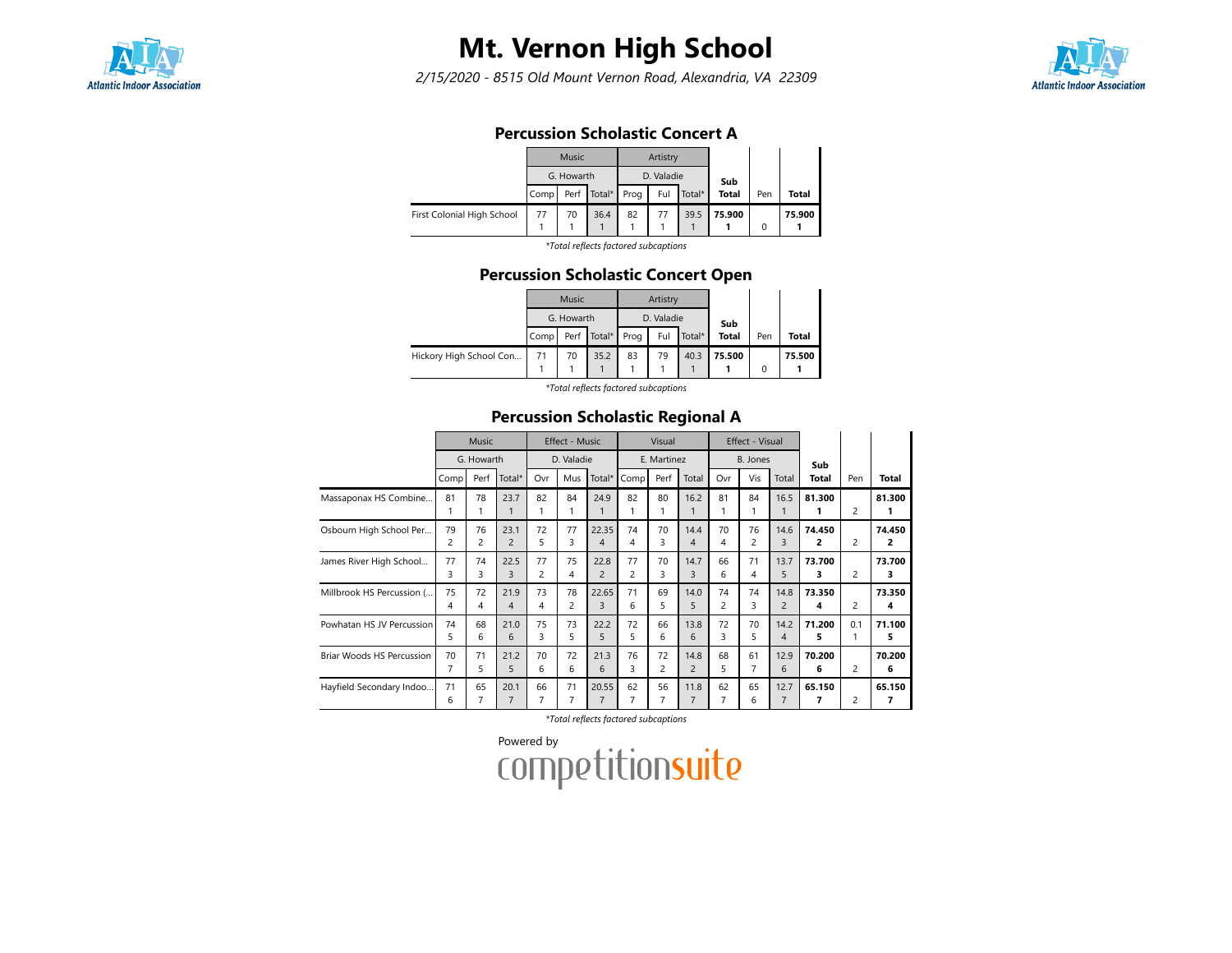

2/15/2020 - 8515 Old Mount Vernon Road, Alexandria, VA 22309



### Percussion Scholastic Concert A

|                            |      | Music      |                      |    | Artistry   |        |              |     |        |
|----------------------------|------|------------|----------------------|----|------------|--------|--------------|-----|--------|
|                            |      | G. Howarth |                      |    | D. Valadie |        | Sub          |     |        |
|                            | Comp |            | Perf   Total*   Prog |    | Ful        | Total* | <b>Total</b> | Pen | Total  |
| First Colonial High School | 77   | 70         | 36.4                 | 82 | 77         | 39.5   | 75.900       |     | 75.900 |

\*Total reflects factored subcaptions

### Percussion Scholastic Concert Open

|                         |      | Music      |             |      | Artistry   |        |              |          |              |
|-------------------------|------|------------|-------------|------|------------|--------|--------------|----------|--------------|
|                         |      | G. Howarth |             |      | D. Valadie |        | Sub          |          |              |
|                         | Comp |            | Perf Total* | Prog | Ful        | Total* | <b>Total</b> | Pen      | <b>Total</b> |
| Hickory High School Con | 71   | 70         | 35.2        | 83   | 79         | 40.3   | 75.500       | $\Omega$ | 75.500       |

\*Total reflects factored subcaptions

### Percussion Scholastic Regional A

|                           |         | <b>Music</b> |                        |                      | Effect - Music |                         |                      | Visual               |                        |         | Effect - Visual      |                        |             |                |             |
|---------------------------|---------|--------------|------------------------|----------------------|----------------|-------------------------|----------------------|----------------------|------------------------|---------|----------------------|------------------------|-------------|----------------|-------------|
|                           |         | G. Howarth   |                        |                      | D. Valadie     |                         |                      | E. Martinez          |                        |         | B. Jones             |                        | Sub         |                |             |
|                           | Comp    | Perf         | Total*                 | Ovr                  | Mus            | Total*                  | Comp                 | Perf                 | Total                  | Ovr     | Vis                  | Total                  | Total       | Pen            | Total       |
| Massaponax HS Combine     | 81<br>1 | 78           | 23.7                   | 82                   | 84             | 24.9                    | 82                   | 80                   | 16.2                   | 81      | 84                   | 16.5<br>1              | 81.300      | 2              | 81.300<br>1 |
| Osbourn High School Per   | 79<br>2 | 76<br>2      | 23.1<br>$\overline{2}$ | 72<br>5              | 77<br>3        | 22.35<br>4              | 74<br>4              | 70<br>3              | 14.4<br>4              | 70<br>4 | 76<br>$\overline{c}$ | 14.6<br>3              | 74.450<br>2 | 2              | 74.450<br>2 |
| James River High School   | 77<br>3 | 74<br>3      | 22.5<br>3              | 77<br>$\overline{c}$ | 75<br>4        | 22.8<br>$\overline{2}$  | 77<br>$\overline{c}$ | 70<br>3              | 14.7<br>3              | 66<br>6 | 71<br>4              | 13.7<br>5              | 73.700<br>3 | 2              | 73.700<br>3 |
| Millbrook HS Percussion ( | 75<br>4 | 72<br>4      | 21.9<br>4              | 73<br>4              | 78<br>2        | 22.65<br>3              | 71<br>6              | 69<br>5              | 14.0<br>5              | 74<br>2 | 74<br>3              | 14.8<br>$\overline{c}$ | 73.350<br>4 | 2              | 73.350<br>4 |
| Powhatan HS JV Percussion | 74<br>5 | 68<br>6      | 21.0<br>6              | 75<br>3              | 73<br>5        | 22.2<br>5               | 72<br>5              | 66<br>6              | 13.8<br>6              | 72<br>3 | 70<br>5              | 14.2<br>4              | 71.200<br>5 | 0.1            | 71.100<br>5 |
| Briar Woods HS Percussion | 70<br>7 | 71<br>5      | 21.2<br>5              | 70<br>6              | 72<br>6        | 21.3<br>6               | 76<br>3              | 72<br>$\overline{c}$ | 14.8<br>$\overline{2}$ | 68<br>5 | 61<br>7              | 12.9<br>6              | 70.200<br>6 | 2              | 70.200<br>6 |
| Hayfield Secondary Indoo  | 71<br>6 | 65<br>7      | 20.1<br>$\overline{7}$ | 66<br>$\overline{7}$ | 71<br>7        | 20.55<br>$\overline{7}$ | 62                   | 56                   | 11.8<br>$\overline{7}$ | 62<br>7 | 65<br>6              | 12.7<br>7              | 65.150<br>7 | $\overline{c}$ | 65.150<br>7 |

\*Total reflects factored subcaptions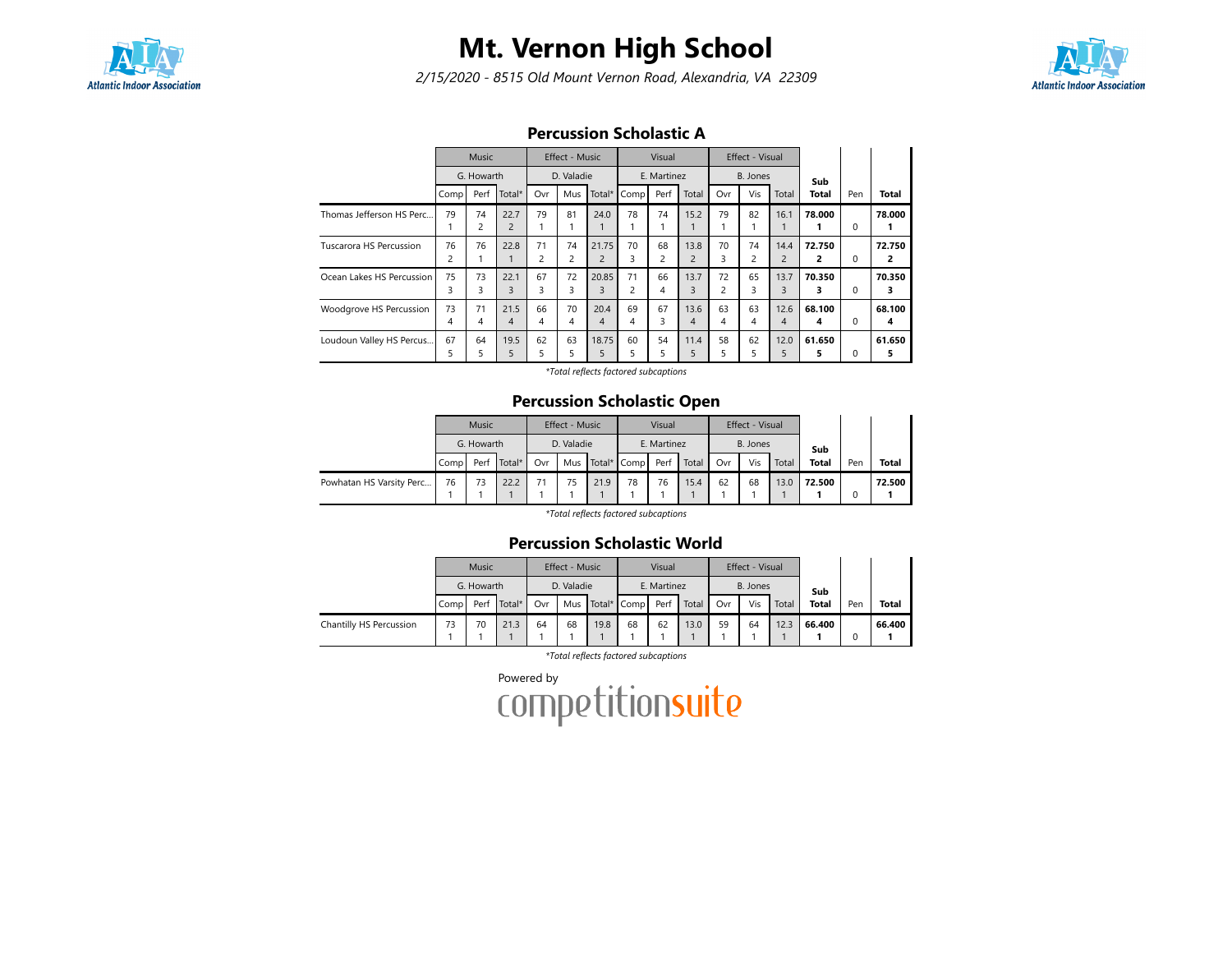

2/15/2020 - 8515 Old Mount Vernon Road, Alexandria, VA 22309



### Percussion Scholastic A

|                           | <b>Music</b>         |          |                        | Effect - Music       |                      |                         | Visual               |         |                        | Effect - Visual      |         |                        |             |          |             |
|---------------------------|----------------------|----------|------------------------|----------------------|----------------------|-------------------------|----------------------|---------|------------------------|----------------------|---------|------------------------|-------------|----------|-------------|
|                           | G. Howarth           |          | D. Valadie             |                      |                      | E. Martinez             |                      |         | B. Jones               |                      |         | Sub                    |             |          |             |
|                           | Comp                 | Perf     | Total*                 | Ovr                  | Mus                  | Total*                  | Comp                 | Perf    | Total                  | Ovr                  | Vis     | Total                  | Total       | Pen      | Total       |
| Thomas Jefferson HS Perc  | 79                   | 74<br>2  | 22.7<br>$\overline{2}$ | 79                   | 81                   | 24.0                    | 78                   | 74      | 15.2                   | 79                   | 82      | 16.1                   | 78.000      | $\Omega$ | 78.000      |
| Tuscarora HS Percussion   | 76<br>$\overline{c}$ | 76       | 22.8                   | 71<br>$\overline{c}$ | 74<br>$\overline{c}$ | 21.75<br>$\overline{2}$ | 70<br>3              | 68<br>2 | 13.8<br>$\overline{2}$ | 70<br>3              | 74<br>2 | 14.4<br>$\overline{2}$ | 72.750<br>2 | 0        | 72.750<br>2 |
| Ocean Lakes HS Percussion | 75<br>3              | 73<br>3  | 22.1<br>3              | 67<br>3              | 72<br>3              | 20.85<br>3              | 71<br>$\overline{2}$ | 66<br>4 | 13.7<br>3              | 72<br>$\overline{c}$ | 65<br>3 | 13.7<br>3              | 70.350<br>з | 0        | 70.350<br>3 |
| Woodgrove HS Percussion   | 73<br>4              | 71<br>4  | 21.5<br>4              | 66<br>$\overline{4}$ | 70<br>4              | 20.4<br>4               | 69<br>4              | 67<br>3 | 13.6<br>4              | 63<br>4              | 63<br>4 | 12.6<br>4              | 68.100<br>4 | 0        | 68.100<br>4 |
| Loudoun Valley HS Percus  | 67<br>5              | 64<br>5. | 19.5<br>5              | 62<br>5              | 63<br>5              | 18.75<br>5              | 60<br>5              | 54<br>5 | 11.4<br>5              | 58<br>5              | 62<br>5 | 12.0<br>5              | 61.650      | 0        | 61.650<br>5 |

\*Total reflects factored subcaptions

### Percussion Scholastic Open

|                          | <b>Music</b><br>G. Howarth |    |             | Effect - Music |    |      | Visual          |      |       | Effect - Visual |     |       |              |     |              |
|--------------------------|----------------------------|----|-------------|----------------|----|------|-----------------|------|-------|-----------------|-----|-------|--------------|-----|--------------|
|                          |                            |    |             | D. Valadie     |    |      | E. Martinez     |      |       | B. Jones        |     |       | Sub          |     |              |
|                          | Compl                      |    | Perf Total* | Ovr            |    |      | Mus Total* Comp | Perf | Total | Ovr             | Vis | Total | <b>Total</b> | Pen | <b>Total</b> |
| Powhatan HS Varsity Perc | 76                         | 73 | 22.2        | 71             | 75 | 21.9 | 78              | 76   | 15.4  | 62              | 68  | 13.0  | 72.500       |     | 72.500       |
|                          |                            |    |             |                |    |      |                 |      |       |                 |     |       |              |     |              |

\*Total reflects factored subcaptions

### Percussion Scholastic World

|                         | Music<br>G. Howarth |      |        | Effect - Music |    |                 | Visual      |      |       | Effect - Visual |     |       |              |     |              |
|-------------------------|---------------------|------|--------|----------------|----|-----------------|-------------|------|-------|-----------------|-----|-------|--------------|-----|--------------|
|                         |                     |      |        | D. Valadie     |    |                 | E. Martinez |      |       | B. Jones        |     |       | Sub          |     |              |
|                         | Compl               | Perf | Total* | Ovr            |    | Mus Total* Comp |             | Perf | Total | Ovr             | Vis | Total | <b>Total</b> | Pen | <b>Total</b> |
| Chantilly HS Percussion | 73                  | 70   | 21.3   | 64             | 68 | 19.8            | 68          | 62   | 13.0  | 59              | 64  | 12.3  | 66.400       |     | 66.400       |
|                         |                     |      |        |                |    |                 |             |      |       |                 |     |       |              |     |              |

\*Total reflects factored subcaptions